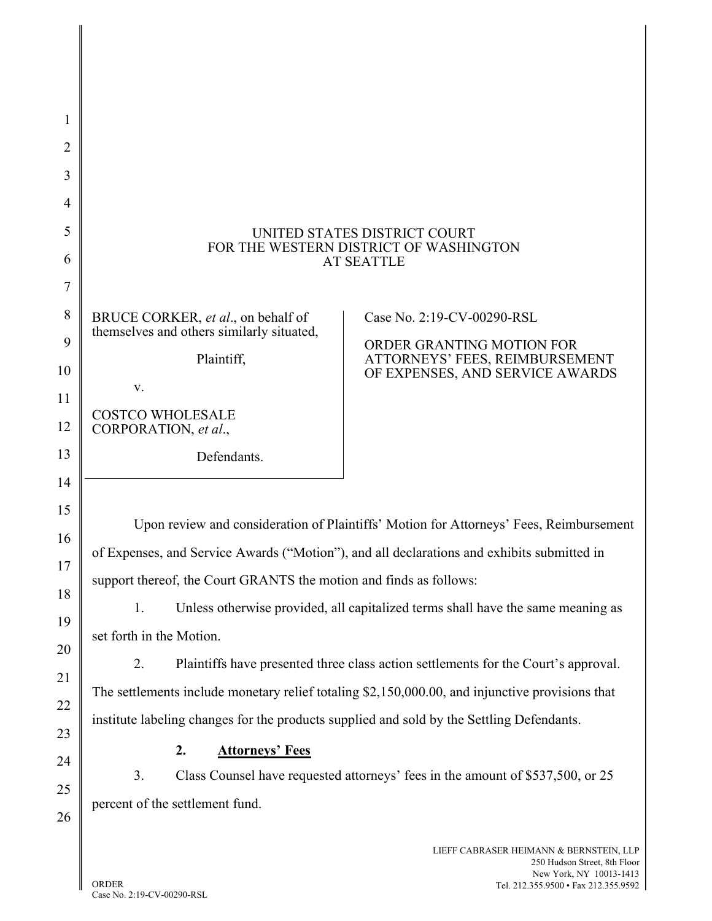| UNITED STATES DISTRICT COURT<br>FOR THE WESTERN DISTRICT OF WASHINGTON<br><b>AT SEATTLE</b>     |                                                                   |  |
|-------------------------------------------------------------------------------------------------|-------------------------------------------------------------------|--|
| BRUCE CORKER, et al., on behalf of                                                              | Case No. 2:19-CV-00290-RSL                                        |  |
| themselves and others similarly situated,                                                       | ORDER GRANTING MOTION FOR                                         |  |
| Plaintiff,                                                                                      | ATTORNEYS' FEES, REIMBURSEMENT<br>OF EXPENSES, AND SERVICE AWARDS |  |
| V.<br><b>COSTCO WHOLESALE</b>                                                                   |                                                                   |  |
| CORPORATION, et al.,                                                                            |                                                                   |  |
| Defendants.                                                                                     |                                                                   |  |
|                                                                                                 |                                                                   |  |
| Upon review and consideration of Plaintiffs' Motion for Attorneys' Fees, Reimbursement          |                                                                   |  |
| of Expenses, and Service Awards ("Motion"), and all declarations and exhibits submitted in      |                                                                   |  |
| support thereof, the Court GRANTS the motion and finds as follows:                              |                                                                   |  |
| 1.<br>Unless otherwise provided, all capitalized terms shall have the same meaning as           |                                                                   |  |
| set forth in the Motion.                                                                        |                                                                   |  |
| 2.<br>Plaintiffs have presented three class action settlements for the Court's approval.        |                                                                   |  |
| The settlements include monetary relief totaling \$2,150,000.00, and injunctive provisions that |                                                                   |  |
| institute labeling changes for the products supplied and sold by the Settling Defendants.       |                                                                   |  |
| 2.<br><b>Attorneys' Fees</b>                                                                    |                                                                   |  |
| 3.<br>Class Counsel have requested attorneys' fees in the amount of \$537,500, or 25            |                                                                   |  |
| percent of the settlement fund.                                                                 |                                                                   |  |
|                                                                                                 | LIEFF CABRASER HEIMANN & BERNSTEIN, LLP                           |  |

1

2

3

4

5

6

7

8

9

10

11

12

13

14

15

16

17

18

19

20

21

22

23

24

25

26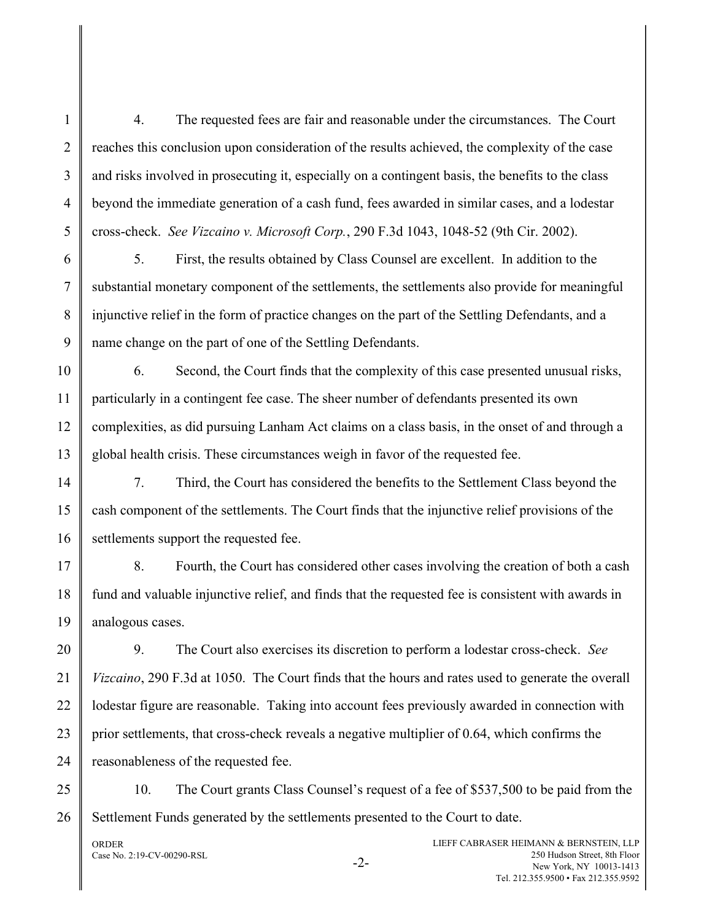4. The requested fees are fair and reasonable under the circumstances. The Court reaches this conclusion upon consideration of the results achieved, the complexity of the case and risks involved in prosecuting it, especially on a contingent basis, the benefits to the class beyond the immediate generation of a cash fund, fees awarded in similar cases, and a lodestar cross-check. See Vizcaino v. Microsoft Corp., 290 F.3d 1043, 1048-52 (9th Cir. 2002).

5. First, the results obtained by Class Counsel are excellent. In addition to the substantial monetary component of the settlements, the settlements also provide for meaningful injunctive relief in the form of practice changes on the part of the Settling Defendants, and a name change on the part of one of the Settling Defendants.

6. Second, the Court finds that the complexity of this case presented unusual risks, particularly in a contingent fee case. The sheer number of defendants presented its own complexities, as did pursuing Lanham Act claims on a class basis, in the onset of and through a global health crisis. These circumstances weigh in favor of the requested fee.

7. Third, the Court has considered the benefits to the Settlement Class beyond the cash component of the settlements. The Court finds that the injunctive relief provisions of the settlements support the requested fee.

8. Fourth, the Court has considered other cases involving the creation of both a cash fund and valuable injunctive relief, and finds that the requested fee is consistent with awards in analogous cases.

9. The Court also exercises its discretion to perform a lodestar cross-check. See Vizcaino, 290 F.3d at 1050. The Court finds that the hours and rates used to generate the overall lodestar figure are reasonable. Taking into account fees previously awarded in connection with prior settlements, that cross-check reveals a negative multiplier of 0.64, which confirms the reasonableness of the requested fee.

26 10. The Court grants Class Counsel's request of a fee of \$537,500 to be paid from the Settlement Funds generated by the settlements presented to the Court to date.

ORDER Case No. 2:19-CV-00290-RSL  $-2$ - LIEFF CABRASER HEIMANN & BERNSTEIN, LLP 250 Hudson Street, 8th Floor New York, NY 10013-1413 Tel. 212.355.9500 • Fax 212.355.9592

1

2